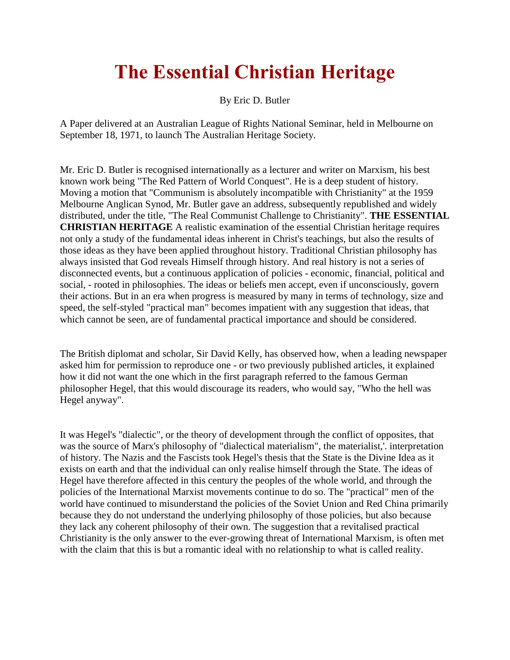## **The Essential Christian Heritage**

By Eric D. Butler

A Paper delivered at an Australian League of Rights National Seminar, held in Melbourne on September 18, 1971, to launch The Australian Heritage Society.

Mr. Eric D. Butler is recognised internationally as a lecturer and writer on Marxism, his best known work being "The Red Pattern of World Conquest". He is a deep student of history. Moving a motion that "Communism is absolutely incompatible with Christianity" at the 1959 Melbourne Anglican Synod, Mr. Butler gave an address, subsequently republished and widely distributed, under the title, "The Real Communist Challenge to Christianity". **THE ESSENTIAL CHRISTIAN HERITAGE** A realistic examination of the essential Christian heritage requires not only a study of the fundamental ideas inherent in Christ's teachings, but also the results of those ideas as they have been applied throughout history. Traditional Christian philosophy has always insisted that God reveals Himself through history. And real history is not a series of disconnected events, but a continuous application of policies - economic, financial, political and social, - rooted in philosophies. The ideas or beliefs men accept, even if unconsciously, govern their actions. But in an era when progress is measured by many in terms of technology, size and speed, the self-styled "practical man" becomes impatient with any suggestion that ideas, that which cannot be seen, are of fundamental practical importance and should be considered.

The British diplomat and scholar, Sir David Kelly, has observed how, when a leading newspaper asked him for permission to reproduce one - or two previously published articles, it explained how it did not want the one which in the first paragraph referred to the famous German philosopher Hegel, that this would discourage its readers, who would say, "Who the hell was Hegel anyway".

It was Hegel's "dialectic", or the theory of development through the conflict of opposites, that was the source of Marx's philosophy of "dialectical materialism", the materialist,'. interpretation of history. The Nazis and the Fascists took Hegel's thesis that the State is the Divine Idea as it exists on earth and that the individual can only realise himself through the State. The ideas of Hegel have therefore affected in this century the peoples of the whole world, and through the policies of the International Marxist movements continue to do so. The "practical" men of the world have continued to misunderstand the policies of the Soviet Union and Red China primarily because they do not understand the underlying philosophy of those policies, but also because they lack any coherent philosophy of their own. The suggestion that a revitalised practical Christianity is the only answer to the ever-growing threat of International Marxism, is often met with the claim that this is but a romantic ideal with no relationship to what is called reality.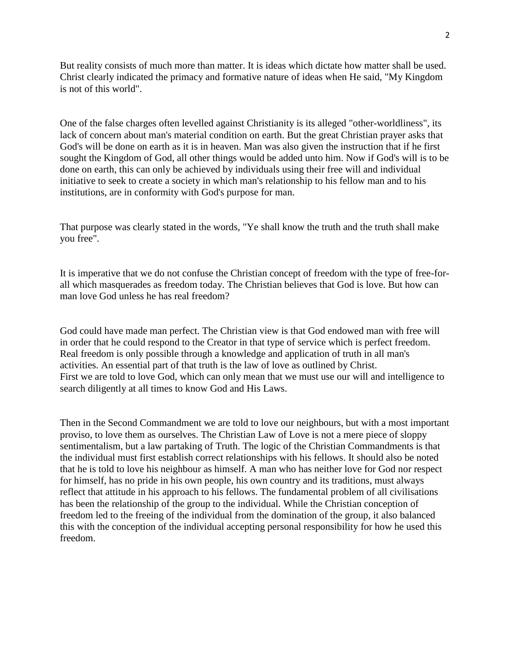But reality consists of much more than matter. It is ideas which dictate how matter shall be used. Christ clearly indicated the primacy and formative nature of ideas when He said, "My Kingdom is not of this world".

One of the false charges often levelled against Christianity is its alleged "other-worldliness", its lack of concern about man's material condition on earth. But the great Christian prayer asks that God's will be done on earth as it is in heaven. Man was also given the instruction that if he first sought the Kingdom of God, all other things would be added unto him. Now if God's will is to be done on earth, this can only be achieved by individuals using their free will and individual initiative to seek to create a society in which man's relationship to his fellow man and to his institutions, are in conformity with God's purpose for man.

That purpose was clearly stated in the words, "Ye shall know the truth and the truth shall make you free".

It is imperative that we do not confuse the Christian concept of freedom with the type of free-forall which masquerades as freedom today. The Christian believes that God is love. But how can man love God unless he has real freedom?

God could have made man perfect. The Christian view is that God endowed man with free will in order that he could respond to the Creator in that type of service which is perfect freedom. Real freedom is only possible through a knowledge and application of truth in all man's activities. An essential part of that truth is the law of love as outlined by Christ. First we are told to love God, which can only mean that we must use our will and intelligence to search diligently at all times to know God and His Laws.

Then in the Second Commandment we are told to love our neighbours, but with a most important proviso, to love them as ourselves. The Christian Law of Love is not a mere piece of sloppy sentimentalism, but a law partaking of Truth. The logic of the Christian Commandments is that the individual must first establish correct relationships with his fellows. It should also be noted that he is told to love his neighbour as himself. A man who has neither love for God nor respect for himself, has no pride in his own people, his own country and its traditions, must always reflect that attitude in his approach to his fellows. The fundamental problem of all civilisations has been the relationship of the group to the individual. While the Christian conception of freedom led to the freeing of the individual from the domination of the group, it also balanced this with the conception of the individual accepting personal responsibility for how he used this freedom.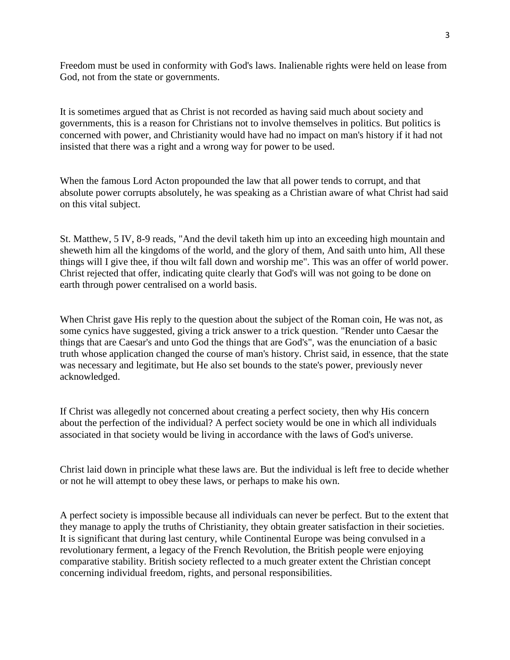Freedom must be used in conformity with God's laws. Inalienable rights were held on lease from God, not from the state or governments.

It is sometimes argued that as Christ is not recorded as having said much about society and governments, this is a reason for Christians not to involve themselves in politics. But politics is concerned with power, and Christianity would have had no impact on man's history if it had not insisted that there was a right and a wrong way for power to be used.

When the famous Lord Acton propounded the law that all power tends to corrupt, and that absolute power corrupts absolutely, he was speaking as a Christian aware of what Christ had said on this vital subject.

St. Matthew, 5 IV, 8-9 reads, "And the devil taketh him up into an exceeding high mountain and sheweth him all the kingdoms of the world, and the glory of them, And saith unto him, All these things will I give thee, if thou wilt fall down and worship me". This was an offer of world power. Christ rejected that offer, indicating quite clearly that God's will was not going to be done on earth through power centralised on a world basis.

When Christ gave His reply to the question about the subject of the Roman coin, He was not, as some cynics have suggested, giving a trick answer to a trick question. "Render unto Caesar the things that are Caesar's and unto God the things that are God's", was the enunciation of a basic truth whose application changed the course of man's history. Christ said, in essence, that the state was necessary and legitimate, but He also set bounds to the state's power, previously never acknowledged.

If Christ was allegedly not concerned about creating a perfect society, then why His concern about the perfection of the individual? A perfect society would be one in which all individuals associated in that society would be living in accordance with the laws of God's universe.

Christ laid down in principle what these laws are. But the individual is left free to decide whether or not he will attempt to obey these laws, or perhaps to make his own.

A perfect society is impossible because all individuals can never be perfect. But to the extent that they manage to apply the truths of Christianity, they obtain greater satisfaction in their societies. It is significant that during last century, while Continental Europe was being convulsed in a revolutionary ferment, a legacy of the French Revolution, the British people were enjoying comparative stability. British society reflected to a much greater extent the Christian concept concerning individual freedom, rights, and personal responsibilities.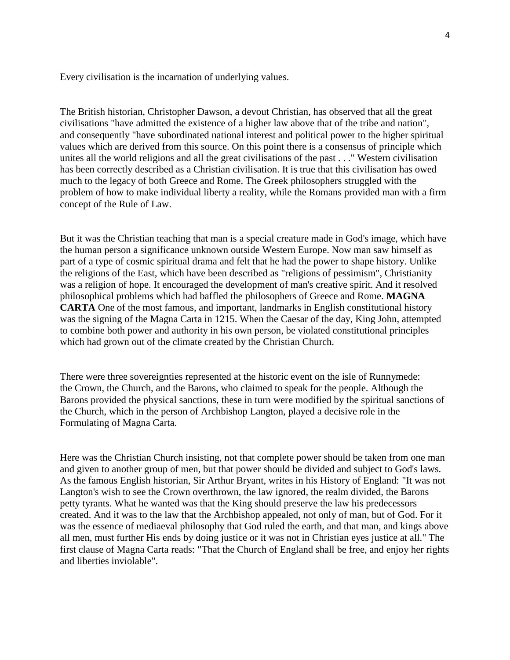Every civilisation is the incarnation of underlying values.

The British historian, Christopher Dawson, a devout Christian, has observed that all the great civilisations "have admitted the existence of a higher law above that of the tribe and nation", and consequently "have subordinated national interest and political power to the higher spiritual values which are derived from this source. On this point there is a consensus of principle which unites all the world religions and all the great civilisations of the past . . ." Western civilisation has been correctly described as a Christian civilisation. It is true that this civilisation has owed much to the legacy of both Greece and Rome. The Greek philosophers struggled with the problem of how to make individual liberty a reality, while the Romans provided man with a firm concept of the Rule of Law.

But it was the Christian teaching that man is a special creature made in God's image, which have the human person a significance unknown outside Western Europe. Now man saw himself as part of a type of cosmic spiritual drama and felt that he had the power to shape history. Unlike the religions of the East, which have been described as "religions of pessimism", Christianity was a religion of hope. It encouraged the development of man's creative spirit. And it resolved philosophical problems which had baffled the philosophers of Greece and Rome. **MAGNA CARTA** One of the most famous, and important, landmarks in English constitutional history was the signing of the Magna Carta in 1215. When the Caesar of the day, King John, attempted to combine both power and authority in his own person, be violated constitutional principles which had grown out of the climate created by the Christian Church.

There were three sovereignties represented at the historic event on the isle of Runnymede: the Crown, the Church, and the Barons, who claimed to speak for the people. Although the Barons provided the physical sanctions, these in turn were modified by the spiritual sanctions of the Church, which in the person of Archbishop Langton, played a decisive role in the Formulating of Magna Carta.

Here was the Christian Church insisting, not that complete power should be taken from one man and given to another group of men, but that power should be divided and subject to God's laws. As the famous English historian, Sir Arthur Bryant, writes in his History of England: "It was not Langton's wish to see the Crown overthrown, the law ignored, the realm divided, the Barons petty tyrants. What he wanted was that the King should preserve the law his predecessors created. And it was to the law that the Archbishop appealed, not only of man, but of God. For it was the essence of mediaeval philosophy that God ruled the earth, and that man, and kings above all men, must further His ends by doing justice or it was not in Christian eyes justice at all." The first clause of Magna Carta reads: "That the Church of England shall be free, and enjoy her rights and liberties inviolable".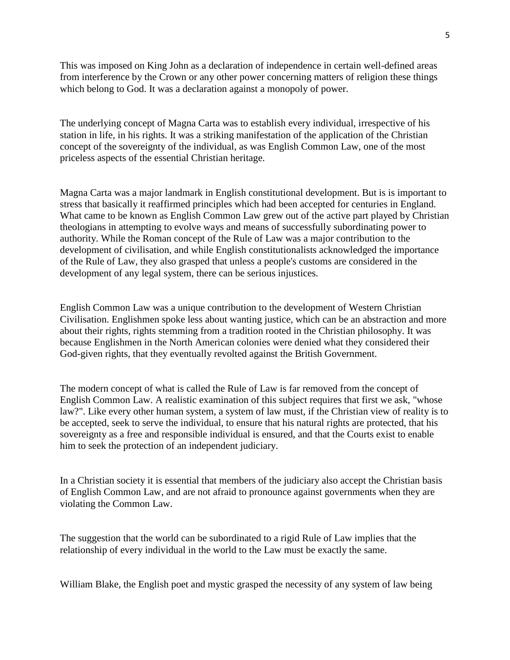This was imposed on King John as a declaration of independence in certain well-defined areas from interference by the Crown or any other power concerning matters of religion these things which belong to God. It was a declaration against a monopoly of power.

The underlying concept of Magna Carta was to establish every individual, irrespective of his station in life, in his rights. It was a striking manifestation of the application of the Christian concept of the sovereignty of the individual, as was English Common Law, one of the most priceless aspects of the essential Christian heritage.

Magna Carta was a major landmark in English constitutional development. But is is important to stress that basically it reaffirmed principles which had been accepted for centuries in England. What came to be known as English Common Law grew out of the active part played by Christian theologians in attempting to evolve ways and means of successfully subordinating power to authority. While the Roman concept of the Rule of Law was a major contribution to the development of civilisation, and while English constitutionalists acknowledged the importance of the Rule of Law, they also grasped that unless a people's customs are considered in the development of any legal system, there can be serious injustices.

English Common Law was a unique contribution to the development of Western Christian Civilisation. Englishmen spoke less about wanting justice, which can be an abstraction and more about their rights, rights stemming from a tradition rooted in the Christian philosophy. It was because Englishmen in the North American colonies were denied what they considered their God-given rights, that they eventually revolted against the British Government.

The modern concept of what is called the Rule of Law is far removed from the concept of English Common Law. A realistic examination of this subject requires that first we ask, "whose law?". Like every other human system, a system of law must, if the Christian view of reality is to be accepted, seek to serve the individual, to ensure that his natural rights are protected, that his sovereignty as a free and responsible individual is ensured, and that the Courts exist to enable him to seek the protection of an independent judiciary.

In a Christian society it is essential that members of the judiciary also accept the Christian basis of English Common Law, and are not afraid to pronounce against governments when they are violating the Common Law.

The suggestion that the world can be subordinated to a rigid Rule of Law implies that the relationship of every individual in the world to the Law must be exactly the same.

William Blake, the English poet and mystic grasped the necessity of any system of law being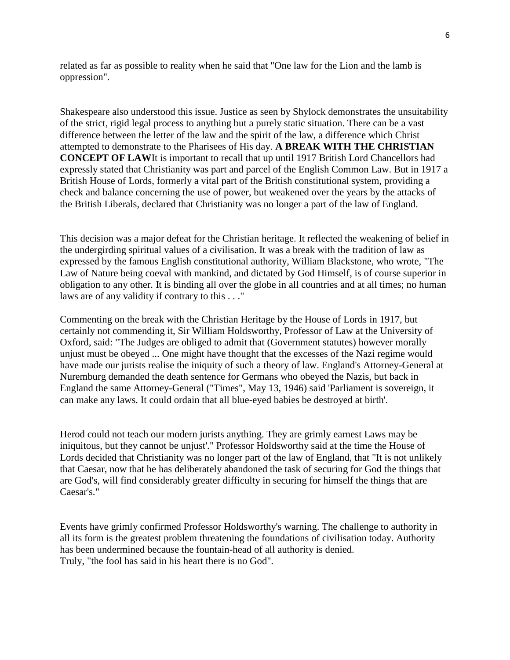related as far as possible to reality when he said that "One law for the Lion and the lamb is oppression".

Shakespeare also understood this issue. Justice as seen by Shylock demonstrates the unsuitability of the strict, rigid legal process to anything but a purely static situation. There can be a vast difference between the letter of the law and the spirit of the law, a difference which Christ attempted to demonstrate to the Pharisees of His day. **A BREAK WITH THE CHRISTIAN CONCEPT OF LAW**It is important to recall that up until 1917 British Lord Chancellors had expressly stated that Christianity was part and parcel of the English Common Law. But in 1917 a British House of Lords, formerly a vital part of the British constitutional system, providing a check and balance concerning the use of power, but weakened over the years by the attacks of the British Liberals, declared that Christianity was no longer a part of the law of England.

This decision was a major defeat for the Christian heritage. It reflected the weakening of belief in the undergirding spiritual values of a civilisation. It was a break with the tradition of law as expressed by the famous English constitutional authority, William Blackstone, who wrote, "The Law of Nature being coeval with mankind, and dictated by God Himself, is of course superior in obligation to any other. It is binding all over the globe in all countries and at all times; no human laws are of any validity if contrary to this . . ."

Commenting on the break with the Christian Heritage by the House of Lords in 1917, but certainly not commending it, Sir William Holdsworthy, Professor of Law at the University of Oxford, said: "The Judges are obliged to admit that (Government statutes) however morally unjust must be obeyed ... One might have thought that the excesses of the Nazi regime would have made our jurists realise the iniquity of such a theory of law. England's Attorney-General at Nuremburg demanded the death sentence for Germans who obeyed the Nazis, but back in England the same Attorney-General ("Times", May 13, 1946) said 'Parliament is sovereign, it can make any laws. It could ordain that all blue-eyed babies be destroyed at birth'.

Herod could not teach our modern jurists anything. They are grimly earnest Laws may be iniquitous, but they cannot be unjust'." Professor Holdsworthy said at the time the House of Lords decided that Christianity was no longer part of the law of England, that "It is not unlikely that Caesar, now that he has deliberately abandoned the task of securing for God the things that are God's, will find considerably greater difficulty in securing for himself the things that are Caesar's."

Events have grimly confirmed Professor Holdsworthy's warning. The challenge to authority in all its form is the greatest problem threatening the foundations of civilisation today. Authority has been undermined because the fountain-head of all authority is denied. Truly, "the fool has said in his heart there is no God".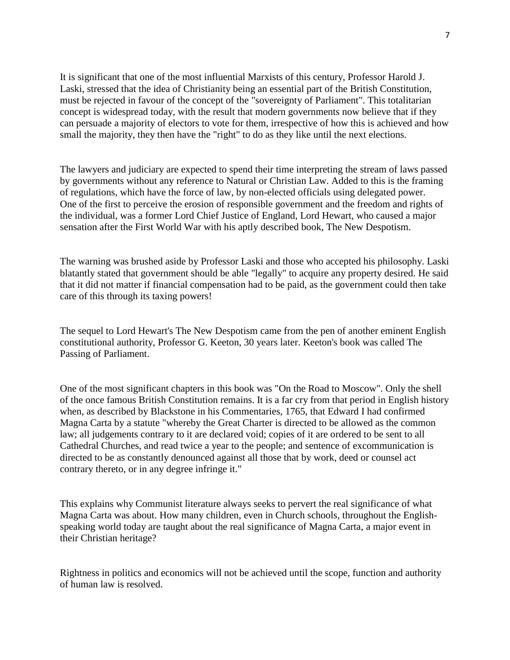It is significant that one of the most influential Marxists of this century, Professor Harold J. Laski, stressed that the idea of Christianity being an essential part of the British Constitution, must be rejected in favour of the concept of the "sovereignty of Parliament". This totalitarian concept is widespread today, with the result that modern governments now believe that if they can persuade a majority of electors to vote for them, irrespective of how this is achieved and how small the majority, they then have the "right" to do as they like until the next elections.

The lawyers and judiciary are expected to spend their time interpreting the stream of laws passed by governments without any reference to Natural or Christian Law. Added to this is the framing of regulations, which have the force of law, by non-elected officials using delegated power. One of the first to perceive the erosion of responsible government and the freedom and rights of the individual, was a former Lord Chief Justice of England, Lord Hewart, who caused a major sensation after the First World War with his aptly described book, The New Despotism.

The warning was brushed aside by Professor Laski and those who accepted his philosophy. Laski blatantly stated that government should be able "legally" to acquire any property desired. He said that it did not matter if financial compensation had to be paid, as the government could then take care of this through its taxing powers!

The sequel to Lord Hewart's The New Despotism came from the pen of another eminent English constitutional authority, Professor G. Keeton, 30 years later. Keeton's book was called The Passing of Parliament.

One of the most significant chapters in this book was "On the Road to Moscow". Only the shell of the once famous British Constitution remains. It is a far cry from that period in English history when, as described by Blackstone in his Commentaries, 1765, that Edward I had confirmed Magna Carta by a statute "whereby the Great Charter is directed to be allowed as the common law; all judgements contrary to it are declared void; copies of it are ordered to be sent to all Cathedral Churches, and read twice a year to the people; and sentence of excommunication is directed to be as constantly denounced against all those that by work, deed or counsel act contrary thereto, or in any degree infringe it."

This explains why Communist literature always seeks to pervert the real significance of what Magna Carta was about. How many children, even in Church schools, throughout the Englishspeaking world today are taught about the real significance of Magna Carta, a major event in their Christian heritage?

Rightness in politics and economics will not be achieved until the scope, function and authority of human law is resolved.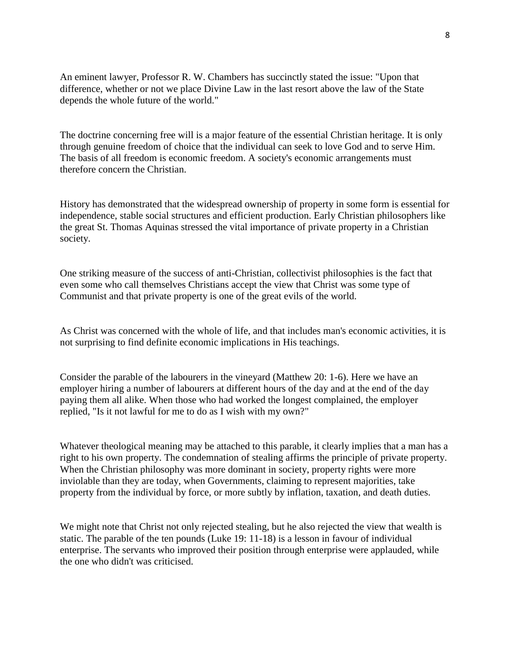An eminent lawyer, Professor R. W. Chambers has succinctly stated the issue: "Upon that difference, whether or not we place Divine Law in the last resort above the law of the State depends the whole future of the world."

The doctrine concerning free will is a major feature of the essential Christian heritage. It is only through genuine freedom of choice that the individual can seek to love God and to serve Him. The basis of all freedom is economic freedom. A society's economic arrangements must therefore concern the Christian.

History has demonstrated that the widespread ownership of property in some form is essential for independence, stable social structures and efficient production. Early Christian philosophers like the great St. Thomas Aquinas stressed the vital importance of private property in a Christian society.

One striking measure of the success of anti-Christian, collectivist philosophies is the fact that even some who call themselves Christians accept the view that Christ was some type of Communist and that private property is one of the great evils of the world.

As Christ was concerned with the whole of life, and that includes man's economic activities, it is not surprising to find definite economic implications in His teachings.

Consider the parable of the labourers in the vineyard (Matthew 20: 1-6). Here we have an employer hiring a number of labourers at different hours of the day and at the end of the day paying them all alike. When those who had worked the longest complained, the employer replied, "Is it not lawful for me to do as I wish with my own?"

Whatever theological meaning may be attached to this parable, it clearly implies that a man has a right to his own property. The condemnation of stealing affirms the principle of private property. When the Christian philosophy was more dominant in society, property rights were more inviolable than they are today, when Governments, claiming to represent majorities, take property from the individual by force, or more subtly by inflation, taxation, and death duties.

We might note that Christ not only rejected stealing, but he also rejected the view that wealth is static. The parable of the ten pounds (Luke 19: 11-18) is a lesson in favour of individual enterprise. The servants who improved their position through enterprise were applauded, while the one who didn't was criticised.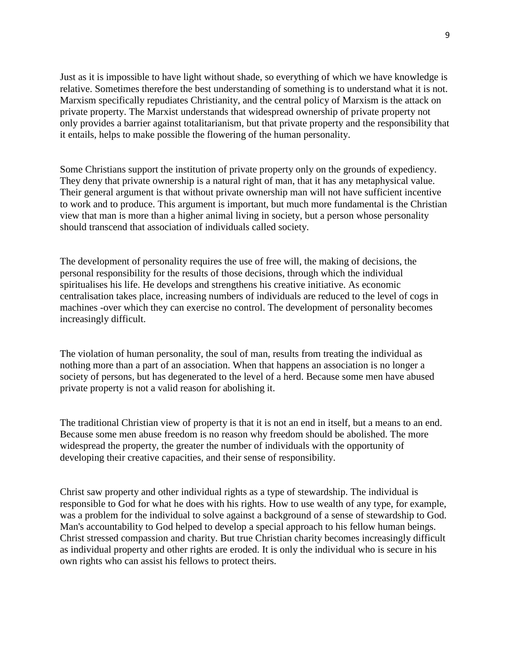Just as it is impossible to have light without shade, so everything of which we have knowledge is relative. Sometimes therefore the best understanding of something is to understand what it is not. Marxism specifically repudiates Christianity, and the central policy of Marxism is the attack on private property. The Marxist understands that widespread ownership of private property not only provides a barrier against totalitarianism, but that private property and the responsibility that it entails, helps to make possible the flowering of the human personality.

Some Christians support the institution of private property only on the grounds of expediency. They deny that private ownership is a natural right of man, that it has any metaphysical value. Their general argument is that without private ownership man will not have sufficient incentive to work and to produce. This argument is important, but much more fundamental is the Christian view that man is more than a higher animal living in society, but a person whose personality should transcend that association of individuals called society.

The development of personality requires the use of free will, the making of decisions, the personal responsibility for the results of those decisions, through which the individual spiritualises his life. He develops and strengthens his creative initiative. As economic centralisation takes place, increasing numbers of individuals are reduced to the level of cogs in machines -over which they can exercise no control. The development of personality becomes increasingly difficult.

The violation of human personality, the soul of man, results from treating the individual as nothing more than a part of an association. When that happens an association is no longer a society of persons, but has degenerated to the level of a herd. Because some men have abused private property is not a valid reason for abolishing it.

The traditional Christian view of property is that it is not an end in itself, but a means to an end. Because some men abuse freedom is no reason why freedom should be abolished. The more widespread the property, the greater the number of individuals with the opportunity of developing their creative capacities, and their sense of responsibility.

Christ saw property and other individual rights as a type of stewardship. The individual is responsible to God for what he does with his rights. How to use wealth of any type, for example, was a problem for the individual to solve against a background of a sense of stewardship to God. Man's accountability to God helped to develop a special approach to his fellow human beings. Christ stressed compassion and charity. But true Christian charity becomes increasingly difficult as individual property and other rights are eroded. It is only the individual who is secure in his own rights who can assist his fellows to protect theirs.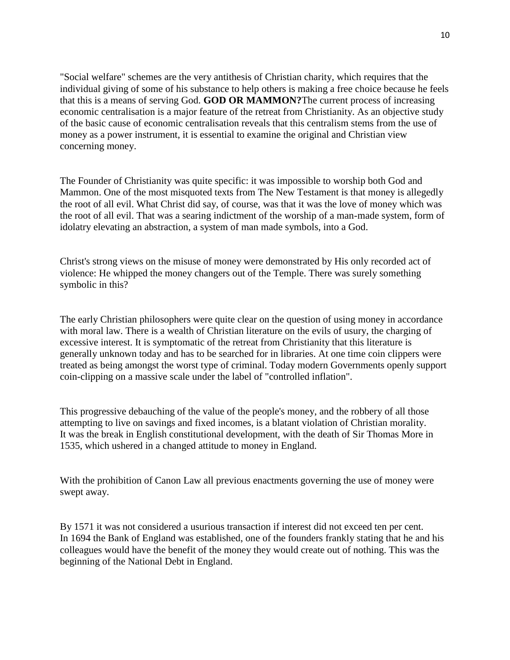"Social welfare" schemes are the very antithesis of Christian charity, which requires that the individual giving of some of his substance to help others is making a free choice because he feels that this is a means of serving God. **GOD OR MAMMON?**The current process of increasing economic centralisation is a major feature of the retreat from Christianity. As an objective study of the basic cause of economic centralisation reveals that this centralism stems from the use of money as a power instrument, it is essential to examine the original and Christian view concerning money.

The Founder of Christianity was quite specific: it was impossible to worship both God and Mammon. One of the most misquoted texts from The New Testament is that money is allegedly the root of all evil. What Christ did say, of course, was that it was the love of money which was the root of all evil. That was a searing indictment of the worship of a man-made system, form of idolatry elevating an abstraction, a system of man made symbols, into a God.

Christ's strong views on the misuse of money were demonstrated by His only recorded act of violence: He whipped the money changers out of the Temple. There was surely something symbolic in this?

The early Christian philosophers were quite clear on the question of using money in accordance with moral law. There is a wealth of Christian literature on the evils of usury, the charging of excessive interest. It is symptomatic of the retreat from Christianity that this literature is generally unknown today and has to be searched for in libraries. At one time coin clippers were treated as being amongst the worst type of criminal. Today modern Governments openly support coin-clipping on a massive scale under the label of "controlled inflation".

This progressive debauching of the value of the people's money, and the robbery of all those attempting to live on savings and fixed incomes, is a blatant violation of Christian morality. It was the break in English constitutional development, with the death of Sir Thomas More in 1535, which ushered in a changed attitude to money in England.

With the prohibition of Canon Law all previous enactments governing the use of money were swept away.

By 1571 it was not considered a usurious transaction if interest did not exceed ten per cent. In 1694 the Bank of England was established, one of the founders frankly stating that he and his colleagues would have the benefit of the money they would create out of nothing. This was the beginning of the National Debt in England.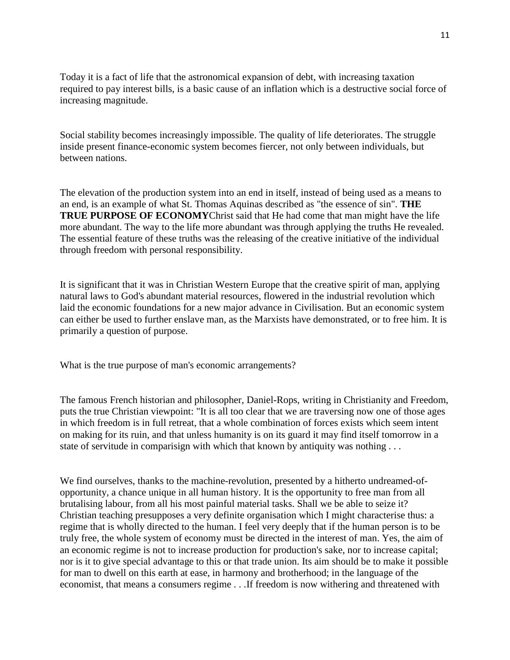Today it is a fact of life that the astronomical expansion of debt, with increasing taxation required to pay interest bills, is a basic cause of an inflation which is a destructive social force of increasing magnitude.

Social stability becomes increasingly impossible. The quality of life deteriorates. The struggle inside present finance-economic system becomes fiercer, not only between individuals, but between nations.

The elevation of the production system into an end in itself, instead of being used as a means to an end, is an example of what St. Thomas Aquinas described as "the essence of sin". **THE TRUE PURPOSE OF ECONOMY**Christ said that He had come that man might have the life more abundant. The way to the life more abundant was through applying the truths He revealed. The essential feature of these truths was the releasing of the creative initiative of the individual through freedom with personal responsibility.

It is significant that it was in Christian Western Europe that the creative spirit of man, applying natural laws to God's abundant material resources, flowered in the industrial revolution which laid the economic foundations for a new major advance in Civilisation. But an economic system can either be used to further enslave man, as the Marxists have demonstrated, or to free him. It is primarily a question of purpose.

What is the true purpose of man's economic arrangements?

The famous French historian and philosopher, Daniel-Rops, writing in Christianity and Freedom, puts the true Christian viewpoint: "It is all too clear that we are traversing now one of those ages in which freedom is in full retreat, that a whole combination of forces exists which seem intent on making for its ruin, and that unless humanity is on its guard it may find itself tomorrow in a state of servitude in comparisign with which that known by antiquity was nothing . . .

We find ourselves, thanks to the machine-revolution, presented by a hitherto undreamed-ofopportunity, a chance unique in all human history. It is the opportunity to free man from all brutalising labour, from all his most painful material tasks. Shall we be able to seize it? Christian teaching presupposes a very definite organisation which I might characterise thus: a regime that is wholly directed to the human. I feel very deeply that if the human person is to be truly free, the whole system of economy must be directed in the interest of man. Yes, the aim of an economic regime is not to increase production for production's sake, nor to increase capital; nor is it to give special advantage to this or that trade union. Its aim should be to make it possible for man to dwell on this earth at ease, in harmony and brotherhood; in the language of the economist, that means a consumers regime . . .If freedom is now withering and threatened with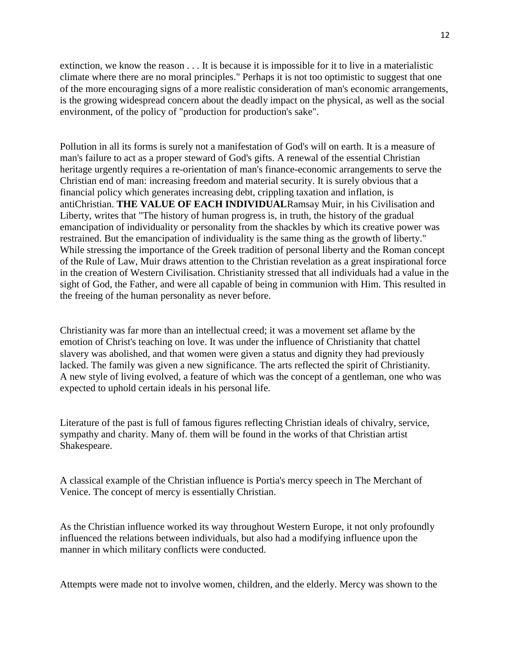extinction, we know the reason . . . It is because it is impossible for it to live in a materialistic climate where there are no moral principles." Perhaps it is not too optimistic to suggest that one of the more encouraging signs of a more realistic consideration of man's economic arrangements, is the growing widespread concern about the deadly impact on the physical, as well as the social environment, of the policy of "production for production's sake".

Pollution in all its forms is surely not a manifestation of God's will on earth. It is a measure of man's failure to act as a proper steward of God's gifts. A renewal of the essential Christian heritage urgently requires a re-orientation of man's finance-economic arrangements to serve the Christian end of man: increasing freedom and material security. It is surely obvious that a financial policy which generates increasing debt, crippling taxation and inflation, is antiChristian. **THE VALUE OF EACH INDIVIDUAL**Ramsay Muir, in his Civilisation and Liberty, writes that "The history of human progress is, in truth, the history of the gradual emancipation of individuality or personality from the shackles by which its creative power was restrained. But the emancipation of individuality is the same thing as the growth of liberty." While stressing the importance of the Greek tradition of personal liberty and the Roman concept of the Rule of Law, Muir draws attention to the Christian revelation as a great inspirational force in the creation of Western Civilisation. Christianity stressed that all individuals had a value in the sight of God, the Father, and were all capable of being in communion with Him. This resulted in the freeing of the human personality as never before.

Christianity was far more than an intellectual creed; it was a movement set aflame by the emotion of Christ's teaching on love. It was under the influence of Christianity that chattel slavery was abolished, and that women were given a status and dignity they had previously lacked. The family was given a new significance. The arts reflected the spirit of Christianity. A new style of living evolved, a feature of which was the concept of a gentleman, one who was expected to uphold certain ideals in his personal life.

Literature of the past is full of famous figures reflecting Christian ideals of chivalry, service, sympathy and charity. Many of. them will be found in the works of that Christian artist Shakespeare.

A classical example of the Christian influence is Portia's mercy speech in The Merchant of Venice. The concept of mercy is essentially Christian.

As the Christian influence worked its way throughout Western Europe, it not only profoundly influenced the relations between individuals, but also had a modifying influence upon the manner in which military conflicts were conducted.

Attempts were made not to involve women, children, and the elderly. Mercy was shown to the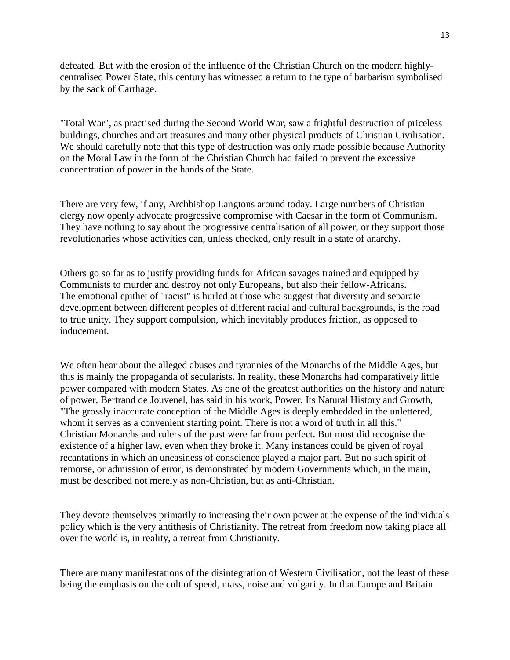defeated. But with the erosion of the influence of the Christian Church on the modern highlycentralised Power State, this century has witnessed a return to the type of barbarism symbolised by the sack of Carthage.

"Total War", as practised during the Second World War, saw a frightful destruction of priceless buildings, churches and art treasures and many other physical products of Christian Civilisation. We should carefully note that this type of destruction was only made possible because Authority on the Moral Law in the form of the Christian Church had failed to prevent the excessive concentration of power in the hands of the State.

There are very few, if any, Archbishop Langtons around today. Large numbers of Christian clergy now openly advocate progressive compromise with Caesar in the form of Communism. They have nothing to say about the progressive centralisation of all power, or they support those revolutionaries whose activities can, unless checked, only result in a state of anarchy.

Others go so far as to justify providing funds for African savages trained and equipped by Communists to murder and destroy not only Europeans, but also their fellow-Africans. The emotional epithet of "racist" is hurled at those who suggest that diversity and separate development between different peoples of different racial and cultural backgrounds, is the road to true unity. They support compulsion, which inevitably produces friction, as opposed to inducement.

We often hear about the alleged abuses and tyrannies of the Monarchs of the Middle Ages, but this is mainly the propaganda of secularists. In reality, these Monarchs had comparatively little power compared with modern States. As one of the greatest authorities on the history and nature of power, Bertrand de Jouvenel, has said in his work, Power, Its Natural History and Growth, "The grossly inaccurate conception of the Middle Ages is deeply embedded in the unlettered, whom it serves as a convenient starting point. There is not a word of truth in all this." Christian Monarchs and rulers of the past were far from perfect. But most did recognise the existence of a higher law, even when they broke it. Many instances could be given of royal recantations in which an uneasiness of conscience played a major part. But no such spirit of remorse, or admission of error, is demonstrated by modern Governments which, in the main, must be described not merely as non-Christian, but as anti-Christian.

They devote themselves primarily to increasing their own power at the expense of the individuals policy which is the very antithesis of Christianity. The retreat from freedom now taking place all over the world is, in reality, a retreat from Christianity.

There are many manifestations of the disintegration of Western Civilisation, not the least of these being the emphasis on the cult of speed, mass, noise and vulgarity. In that Europe and Britain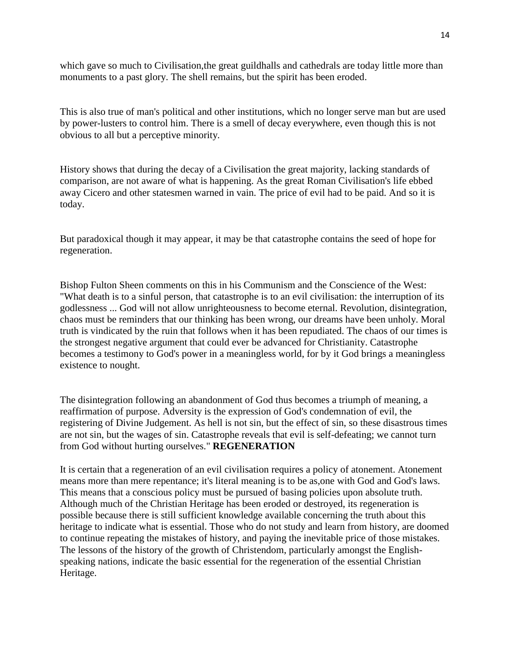which gave so much to Civilisation,the great guildhalls and cathedrals are today little more than monuments to a past glory. The shell remains, but the spirit has been eroded.

This is also true of man's political and other institutions, which no longer serve man but are used by power-lusters to control him. There is a smell of decay everywhere, even though this is not obvious to all but a perceptive minority.

History shows that during the decay of a Civilisation the great majority, lacking standards of comparison, are not aware of what is happening. As the great Roman Civilisation's life ebbed away Cicero and other statesmen warned in vain. The price of evil had to be paid. And so it is today.

But paradoxical though it may appear, it may be that catastrophe contains the seed of hope for regeneration.

Bishop Fulton Sheen comments on this in his Communism and the Conscience of the West: "What death is to a sinful person, that catastrophe is to an evil civilisation: the interruption of its godlessness ... God will not allow unrighteousness to become eternal. Revolution, disintegration, chaos must be reminders that our thinking has been wrong, our dreams have been unholy. Moral truth is vindicated by the ruin that follows when it has been repudiated. The chaos of our times is the strongest negative argument that could ever be advanced for Christianity. Catastrophe becomes a testimony to God's power in a meaningless world, for by it God brings a meaningless existence to nought.

The disintegration following an abandonment of God thus becomes a triumph of meaning, a reaffirmation of purpose. Adversity is the expression of God's condemnation of evil, the registering of Divine Judgement. As hell is not sin, but the effect of sin, so these disastrous times are not sin, but the wages of sin. Catastrophe reveals that evil is self-defeating; we cannot turn from God without hurting ourselves." **REGENERATION**

It is certain that a regeneration of an evil civilisation requires a policy of atonement. Atonement means more than mere repentance; it's literal meaning is to be as,one with God and God's laws. This means that a conscious policy must be pursued of basing policies upon absolute truth. Although much of the Christian Heritage has been eroded or destroyed, its regeneration is possible because there is still sufficient knowledge available concerning the truth about this heritage to indicate what is essential. Those who do not study and learn from history, are doomed to continue repeating the mistakes of history, and paying the inevitable price of those mistakes. The lessons of the history of the growth of Christendom, particularly amongst the Englishspeaking nations, indicate the basic essential for the regeneration of the essential Christian Heritage.